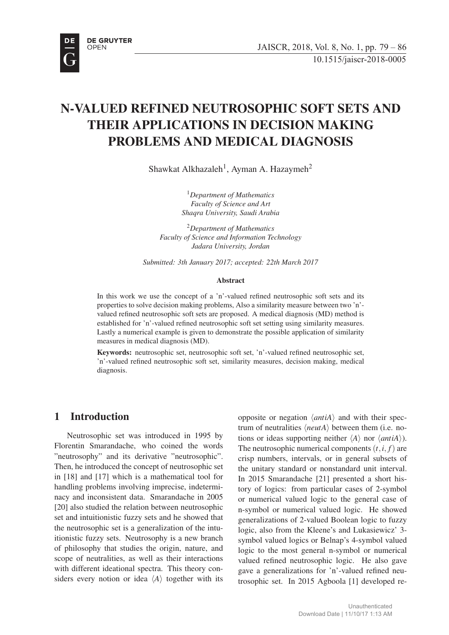

# N-VALUED REFINED NEUTROSOPHIC SOFT SETS AND THEIR APPLICATIONS IN DECISION MAKING PROBLEMS AND MEDICAL DIAGNOSIS

Shawkat Alkhazaleh<sup>1</sup>, Ayman A. Hazaymeh<sup>2</sup>

<sup>1</sup>*Department of Mathematics Faculty of Science and Art Shaqra University, Saudi Arabia*

<sup>2</sup>*Department of Mathematics Faculty of Science and Information Technology Jadara University, Jordan*

*Submitted: 3th January 2017; accepted: 22th March 2017*

#### Abstract

In this work we use the concept of a 'n'-valued refined neutrosophic soft sets and its properties to solve decision making problems, Also a similarity measure between two 'n' valued refined neutrosophic soft sets are proposed. A medical diagnosis (MD) method is established for 'n'-valued refined neutrosophic soft set setting using similarity measures. Lastly a numerical example is given to demonstrate the possible application of similarity measures in medical diagnosis (MD).

Keywords: neutrosophic set, neutrosophic soft set, 'n'-valued refined neutrosophic set, 'n'-valued refined neutrosophic soft set, similarity measures, decision making, medical diagnosis.

## 1 Introduction

Neutrosophic set was introduced in 1995 by Florentin Smarandache, who coined the words "neutrosophy" and its derivative "neutrosophic". Then, he introduced the concept of neutrosophic set in [18] and [17] which is a mathematical tool for handling problems involving imprecise, indeterminacy and inconsistent data. Smarandache in 2005 [20] also studied the relation between neutrosophic set and intuitionistic fuzzy sets and he showed that the neutrosophic set is a generalization of the intuitionistic fuzzy sets. Neutrosophy is a new branch of philosophy that studies the origin, nature, and scope of neutralities, as well as their interactions with different ideational spectra. This theory considers every notion or idea *⟨A⟩* together with its

opposite or negation *⟨antiA⟩* and with their spectrum of neutralities *⟨neutA⟩* between them (i.e. notions or ideas supporting neither *⟨A⟩* nor *⟨antiA⟩*). The neutrosophic numerical components  $(t, i, f)$  are crisp numbers, intervals, or in general subsets of the unitary standard or nonstandard unit interval. In 2015 Smarandache [21] presented a short history of logics: from particular cases of 2-symbol or numerical valued logic to the general case of n-symbol or numerical valued logic. He showed generalizations of 2-valued Boolean logic to fuzzy logic, also from the Kleene's and Lukasiewicz' 3 symbol valued logics or Belnap's 4-symbol valued logic to the most general n-symbol or numerical valued refined neutrosophic logic. He also gave gave a generalizations for 'n'-valued refined neutrosophic set. In 2015 Agboola [1] developed re-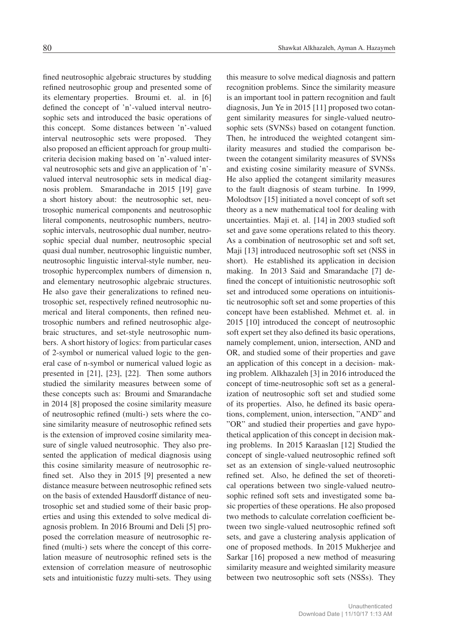fined neutrosophic algebraic structures by studding refined neutrosophic group and presented some of its elementary properties. Broumi et. al. in [6] defined the concept of 'n'-valued interval neutrosophic sets and introduced the basic operations of this concept. Some distances between 'n'-valued interval neutrosophic sets were proposed. They also proposed an efficient approach for group multicriteria decision making based on 'n'-valued interval neutrosophic sets and give an application of 'n' valued interval neutrosophic sets in medical diagnosis problem. Smarandache in 2015 [19] gave a short history about: the neutrosophic set, neutrosophic numerical components and neutrosophic literal components, neutrosophic numbers, neutrosophic intervals, neutrosophic dual number, neutrosophic special dual number, neutrosophic special quasi dual number, neutrosophic linguistic number, neutrosophic linguistic interval-style number, neutrosophic hypercomplex numbers of dimension n, and elementary neutrosophic algebraic structures. He also gave their generalizations to refined neutrosophic set, respectively refined neutrosophic numerical and literal components, then refined neutrosophic numbers and refined neutrosophic algebraic structures, and set-style neutrosophic numbers. A short history of logics: from particular cases of 2-symbol or numerical valued logic to the general case of n-symbol or numerical valued logic as presented in [21], [23], [22]. Then some authors studied the similarity measures between some of these concepts such as: Broumi and Smarandache in 2014 [8] proposed the cosine similarity measure of neutrosophic refined (multi-) sets where the cosine similarity measure of neutrosophic refined sets is the extension of improved cosine similarity measure of single valued neutrosophic. They also presented the application of medical diagnosis using this cosine similarity measure of neutrosophic refined set. Also they in 2015 [9] presented a new distance measure between neutrosophic refined sets on the basis of extended Hausdorff distance of neutrosophic set and studied some of their basic properties and using this extended to solve medical diagnosis problem. In 2016 Broumi and Deli [5] proposed the correlation measure of neutrosophic refined (multi-) sets where the concept of this correlation measure of neutrosophic refined sets is the extension of correlation measure of neutrosophic sets and intuitionistic fuzzy multi-sets. They using

this measure to solve medical diagnosis and pattern recognition problems. Since the similarity measure is an important tool in pattern recognition and fault diagnosis, Jun Ye in 2015 [11] proposed two cotangent similarity measures for single-valued neutrosophic sets (SVNSs) based on cotangent function. Then, he introduced the weighted cotangent similarity measures and studied the comparison between the cotangent similarity measures of SVNSs and existing cosine similarity measure of SVNSs. He also applied the cotangent similarity measures to the fault diagnosis of steam turbine. In 1999, Molodtsov [15] initiated a novel concept of soft set theory as a new mathematical tool for dealing with uncertainties. Maji et. al. [14] in 2003 studied soft set and gave some operations related to this theory. As a combination of neutrosophic set and soft set, Maji [13] introduced neutrosophic soft set (NSS in short). He established its application in decision making. In 2013 Said and Smarandache [7] defined the concept of intuitionistic neutrosophic soft set and introduced some operations on intuitionistic neutrosophic soft set and some properties of this concept have been established. Mehmet et. al. in 2015 [10] introduced the concept of neutrosophic soft expert set they also defined its basic operations, namely complement, union, intersection, AND and OR, and studied some of their properties and gave an application of this concept in a decision- making problem. Alkhazaleh [3] in 2016 introduced the concept of time-neutrosophic soft set as a generalization of neutrosophic soft set and studied some of its properties. Also, he defined its basic operations, complement, union, intersection, "AND" and "OR" and studied their properties and gave hypothetical application of this concept in decision making problems. In 2015 Karaaslan [12] Studied the concept of single-valued neutrosophic refined soft set as an extension of single-valued neutrosophic refined set. Also, he defined the set of theoretical operations between two single-valued neutrosophic refined soft sets and investigated some basic properties of these operations. He also proposed two methods to calculate correlation coefficient between two single-valued neutrosophic refined soft sets, and gave a clustering analysis application of one of proposed methods. In 2015 Mukherjee and Sarkar [16] proposed a new method of measuring similarity measure and weighted similarity measure between two neutrosophic soft sets (NSSs). They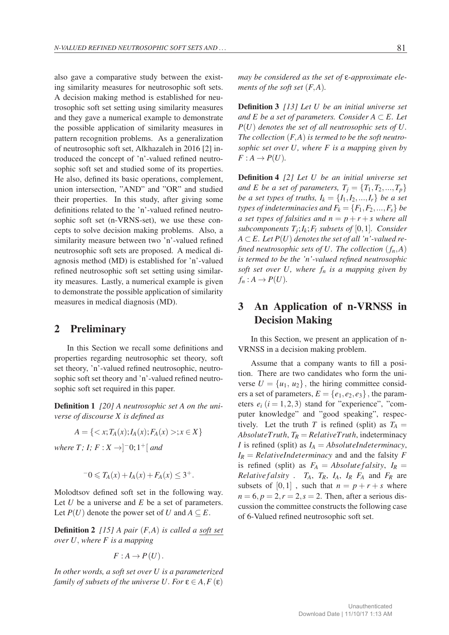also gave a comparative study between the existing similarity measures for neutrosophic soft sets. A decision making method is established for neutrosophic soft set setting using similarity measures and they gave a numerical example to demonstrate the possible application of similarity measures in pattern recognition problems. As a generalization of neutrosophic soft set, Alkhazaleh in 2016 [2] introduced the concept of 'n'-valued refined neutrosophic soft set and studied some of its properties. He also, defined its basic operations, complement, union intersection, "AND" and "OR" and studied their properties. In this study, after giving some definitions related to the 'n'-valued refined neutrosophic soft set (n-VRNS-set), we use these concepts to solve decision making problems. Also, a similarity measure between two 'n'-valued refined neutrosophic soft sets are proposed. A medical diagnosis method (MD) is established for 'n'-valued refined neutrosophic soft set setting using similarity measures. Lastly, a numerical example is given to demonstrate the possible application of similarity measures in medical diagnosis (MD).

### 2 Preliminary

In this Section we recall some definitions and properties regarding neutrosophic set theory, soft set theory, 'n'-valued refined neutrosophic, neutrosophic soft set theory and 'n'-valued refined neutrosophic soft set required in this paper.

Definition 1 *[20] A neutrosophic set A on the universe of discourse X is defined as*

$$
A = \{ \langle x; T_A(x); I_A(x); F_A(x) \rangle; x \in X \}
$$

*where T; I; F* : *X →*] *<sup>−</sup>*0; 1+[ *and*

$$
-0 \leq T_A(x) + I_A(x) + F_A(x) \leq 3^+.
$$

Molodtsov defined soft set in the following way. Let *U* be a universe and *E* be a set of parameters. Let  $P(U)$  denote the power set of *U* and  $A \subseteq E$ .

**Definition 2** [15] A pair  $(F, A)$  is called a soft set *over U, where F is a mapping*

$$
F: A \to P(U).
$$

*In other words, a soft set over U is a parameterized family of subsets of the universe U. For*  $\varepsilon \in A$ ,  $F(\varepsilon)$ 

Definition 3 *[13] Let U be an initial universe set and*  $E$  *be a set of parameters. Consider*  $A ⊂ E$ *. Let P*(*U*) *denotes the set of all neutrosophic sets of U. The collection* (*F,A*) *is termed to be the soft neutrosophic set over U, where F is a mapping given by*  $F: A \rightarrow P(U)$ .

Definition 4 *[2] Let U be an initial universe set and E be a set of parameters,*  $T_i = \{T_1, T_2, ..., T_p\}$ *be a set types of truths,*  $I_k = \{I_1, I_2, ..., I_r\}$  *be a set types of indeterminacies and*  $F_k = \{F_1, F_2, ..., F_s\}$  *be a set types of falsities and*  $n = p + r + s$  *where all subcomponents*  $T_i$ ;  $I_k$ ;  $F_l$  *subsets of* [0,1]*. Consider*  $A \subset E$ . Let  $P(U)$  denotes the set of all 'n'-valued re*fined neutrosophic sets of U. The collection*  $(f_n, A)$ *is termed to be the 'n'-valued refined neutrosophic soft set over*  $U$ *, where*  $f_n$  *is a mapping given by*  $f_n: A \to P(U)$ .

# 3 An Application of n-VRNSS in Decision Making

In this Section, we present an application of n-VRNSS in a decision making problem.

Assume that a company wants to fill a position. There are two candidates who form the universe  $U = \{u_1, u_2\}$ , the hiring committee considers a set of parameters,  $E = \{e_1, e_2, e_3\}$ , the parameters  $e_i$  ( $i = 1, 2, 3$ ) stand for "experience", "computer knowledge" and "good speaking", respectively. Let the truth *T* is refined (split) as  $T_A =$  $AbsoluteTruth, T_R = RelativeTruth,$  indeterminacy *I* is refined (split) as  $I_A = AbsoluteIndex,$  $I_R$  = *RelativeIndeterminacy* and and the falsity *F* is refined (split) as  $F_A = Absolute falsity$ ,  $I_R =$ *Relative f alsity* .  $T_A$ ,  $T_R$ ,  $I_A$ ,  $I_R$   $F_A$  and  $F_R$  are subsets of  $[0,1]$ , such that  $n = p + r + s$  where  $n = 6, p = 2, r = 2, s = 2$ . Then, after a serious discussion the committee constructs the following case of 6-Valued refined neutrosophic soft set.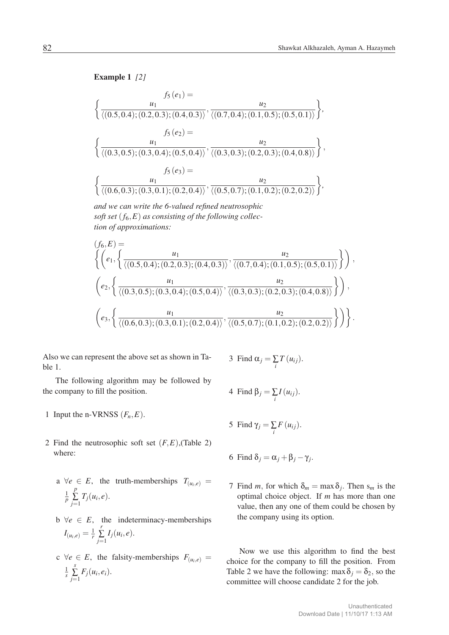Example 1 *[2]*

$$
f_5(e_1) = \frac{u_2}{\langle (0.5, 0.4); (0.2, 0.3); (0.4, 0.3) \rangle}, \frac{u_2}{\langle (0.7, 0.4); (0.1, 0.5); (0.5, 0.1) \rangle} \rangle,
$$
  

$$
f_5(e_2) = \frac{u_1}{\langle (0.3, 0.5); (0.3, 0.4); (0.5, 0.4) \rangle}, \frac{u_2}{\langle (0.3, 0.3); (0.2, 0.3); (0.4, 0.8) \rangle} \rangle,
$$
  

$$
f_5(e_3) = \frac{u_1}{\langle (0.6, 0.3); (0.3, 0.1); (0.2, 0.4) \rangle}, \frac{u_2}{\langle (0.5, 0.7); (0.1, 0.2); (0.2, 0.2) \rangle} \rangle,
$$

and we can write the 6-valued refined neutrosophic *and we can write the 6-valued refined neutrosophic* soft set (*f*6*,E*) as consisting of the following collec-*soft set* (*f*6*,E*) *as consisting of the following collec*tion of approximations: *tion of approximations:*

$$
(f_6, E) = \left\{ \left( e_1, \left\{ \frac{u_1}{\langle (0.5, 0.4); (0.2, 0.3); (0.4, 0.3) \rangle}, \frac{u_2}{\langle (0.7, 0.4); (0.1, 0.5); (0.5, 0.1) \rangle} \right\} \right), \\ \left( e_2, \left\{ \frac{u_1}{\langle (0.3, 0.5); (0.3, 0.4); (0.5, 0.4) \rangle}, \frac{u_2}{\langle (0.3, 0.3); (0.2, 0.3); (0.4, 0.8) \rangle} \right\} \right), \\ \left( e_3, \left\{ \frac{u_1}{\langle (0.6, 0.3); (0.3, 0.1); (0.2, 0.4) \rangle}, \frac{u_2}{\langle (0.5, 0.7); (0.1, 0.2); (0.2, 0.2) \rangle} \right\} \right) \right\}.
$$

Also we can represent the above set as shown in Table 1.

The following algorithm may be followed by the company to fill the position.

- 1 Input the n-VRNSS  $(F_n, E)$ .
- 2 Find the neutrosophic soft set  $(F, E)$ , (Table 2) where:
	- a  $\forall e \in E$ , the truth-memberships  $T_{(u_i,e)} =$ 1 *p p*  $\sum_{j=1}$   $T_j(u_i, e)$ .
	- $b \ \forall e \in E$ , the indeterminacy-memberships  $I_{(u_i,e)} = \frac{1}{r}$ *r*  $\sum_{j=1}$   $I_j(u_i, e)$ .
	- $c \ \forall e \in E$ , the falsity-memberships  $F_{(u_i,e)} =$ 1 *s s*  $\sum_{j=1} F_j(u_i, e_i).$

3 Find 
$$
\alpha_j = \sum_i T(u_{ij}).
$$

4 Find 
$$
\beta_j = \sum_i I(u_{ij}).
$$

5 Find  $\gamma_j = \sum_i F(u_{ij}).$ 

6 Find 
$$
\delta_j = \alpha_j + \beta_j - \gamma_j
$$
.

7 Find *m*, for which  $\delta_m = \max \delta_j$ . Then  $s_m$  is the optimal choice object. If *m* has more than one value, then any one of them could be chosen by the company using its option.

Now we use this algorithm to find the best choice for the company to fill the position. From Table 2 we have the following: max  $\delta_j = \delta_2$ , so the committee will choose candidate 2 for the job.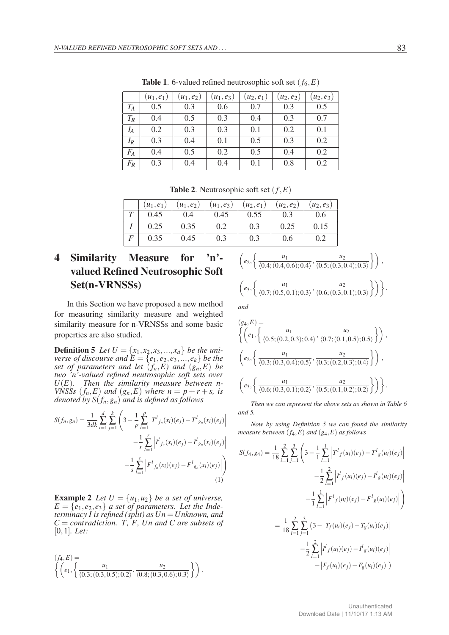|       | $(u_1, e_1)$ | $(u_1, e_2)$ | $(u_1, e_3)$ | $(u_2, e_1)$ | $(u_2, e_2)$ | $(u_2, e_3)$ |
|-------|--------------|--------------|--------------|--------------|--------------|--------------|
|       |              |              |              |              |              |              |
| $T_A$ | 0.5          | 0.3          | 0.6          | 0.7          | 0.3          | 0.5          |
| $T_R$ | 0.4          | 0.5          | 0.3          | 0.4          | 0.3          | 0.7          |
| $I_A$ | 0.2          | 0.3          | 0.3          | 0.1          | 0.2          | 0.1          |
| $I_R$ | 0.3          | 0.4          | 0.1          | 0.5          | 0.3          | 0.2          |
| $F_A$ | 0.4          | 0.5          | 0.2          | 0.5          | 0.4          | 0.2          |
| $F_R$ | 0.3          | 0.4          | 0.4          | 0.1          | 0.8          | 0.2          |

**Table 1.** 6-valued refined neutrosophic soft set  $(f_6, E)$ 

**Table 2.** Neutrosophic soft set  $(f, E)$ 

|   | $(u_1,e_1)$ | $(u_1, e_2)$ | $(u_1, e_3)$ | $(u_2, e_1)$ | $(u_2, e_2)$ | $(u_2,e_3)$ |
|---|-------------|--------------|--------------|--------------|--------------|-------------|
|   | 0.45        | 0.4          | 0.45         | 0.55         |              | 0.6         |
|   | 0.25        | 0.35         | 0.2          | 0.3          | 0.25         | 0.15        |
| F | 0.35        | 0.45         | 0.3          | 0.3          | 0.6          |             |

# 4 Similarity Measure for 'n' valued Refined Neutrosophic Soft Set(n-VRNSSs)

In this Section we have proposed a new method for measuring similarity measure and weighted similarity measure for n-VRNSSs and some basic properties are also studied.

**Definition 5** Let  $U = \{x_1, x_2, x_3, ..., x_d\}$  be the uni*verse of discourse and*  $\overline{E} = \{e_1, e_2, e_3, \ldots, e_k\}$  *be the set of parameters and let* (*fn,E) and* (*gn,E*) *be two 'n'-valued refined neutrosophic soft sets over U*(*E*)*. Then the similarity measure between n-VNSSs*  $(f_n, E)$  *and*  $(g_n, E)$  *where*  $n = p + r + s$ *, is denoted by S*(*fn,gn*) *and is defined as follows*

$$
S(f_n, g_n) = \frac{1}{3dk} \sum_{i=1}^d \sum_{j=1}^k \left( 3 - \frac{1}{p} \sum_{l=1}^p \left| T^l f_n(x_l)(e_j) - T^l g_n(x_l)(e_j) \right| - \frac{1}{r} \sum_{l=1}^r \left| I^l f_n(x_l)(e_j) - I^l g_n(x_l)(e_j) \right| - \frac{1}{s} \sum_{l=1}^s \left| F^l f_n(x_l)(e_j) - F^l g_n(x_l)(e_j) \right| \right)
$$
\n(1)

**Example 2** *Let*  $U = \{u_1, u_2\}$  *be a set of universe,*  $E = \{e_1, e_2, e_3\}$  *a set of parameters. Let the Indeterminacy I is refined (split) as Un* =*Unknown, and C* = *contradiction. T, F, Un and C are subsets of* [0*,*1]*. Let:*

$$
(f_4, E) = \left\{ \left( e_1, \left\{ \frac{u_1}{\langle 0.3; (0.3, 0.5); 0.2 \rangle}, \frac{u_2}{\langle 0.8; (0.3, 0.6); 0.3 \rangle} \right\} \right) ,\right\}
$$

$$
\left(e_2, \left\{\frac{u_1}{\langle 0.4; (0.4, 0.6); 0.4 \rangle}, \frac{u_2}{\langle 0.5; (0.3, 0.4); 0.3 \rangle}\right\}\right),\newline
$$

$$
\left(e_3, \left\{\frac{u_1}{\langle 0.7; (0.5, 0.1); 0.3 \rangle}, \frac{u_2}{\langle 0.6; (0.3, 0.1); 0.3 \rangle}\right\}\right)\right\}.
$$

*and*

$$
(g_4, E) = \left\{ \left( e_1, \left\{ \frac{u_1}{\langle 0.5; (0.2, 0.3); 0.4 \rangle}, \frac{u_2}{\langle 0.7; (0.1, 0.5); 0.5 \rangle} \right\} \right), \newline \left( e_2, \left\{ \frac{u_1}{\langle 0.3; (0.3, 0.4); 0.5 \rangle}, \frac{u_2}{\langle 0.3; (0.2, 0.3); 0.4 \rangle} \right\} \right), \newline \left( e_3, \left\{ \frac{u_1}{\langle 0.6; (0.3, 0.1); 0.2 \rangle}, \frac{u_2}{\langle 0.5; (0.1, 0.2); 0.2 \rangle} \right\} \right) \right\}.
$$

*Then we can represent the above sets as shown in Table 6 and 5.*

*Now by using Definition 5 we can found the similarity measure between* (*f*4*,E*) *and* (*g*4*,E*) *as follows*

$$
S(f_4, g_4) = \frac{1}{18} \sum_{i=1}^{2} \sum_{j=1}^{3} \left( 3 - \frac{1}{1} \sum_{l=1}^{1} \left| T^l f(u_i)(e_j) - T^l g(u_i)(e_j) \right| - \frac{1}{2} \sum_{l=1}^{2} \left| I^l f(u_i)(e_j) - I^l g(u_i)(e_j) \right| - \frac{1}{1} \sum_{l=1}^{1} \left| F^l f(u_i)(e_j) - F^l g(u_i)(e_j) \right| \right)
$$
  

$$
= \frac{1}{18} \sum_{i=1}^{2} \sum_{j=1}^{3} \left( 3 - \left| T_f(u_i)(e_j) - T_g(u_i)(e_j) \right| - \frac{1}{2} \sum_{l=1}^{2} \left| I^l f(u_i)(e_j) - I^l g(u_i)(e_j) \right| - \left| F_f(u_i)(e_j) - F_g(u_i)(e_j) \right| \right)
$$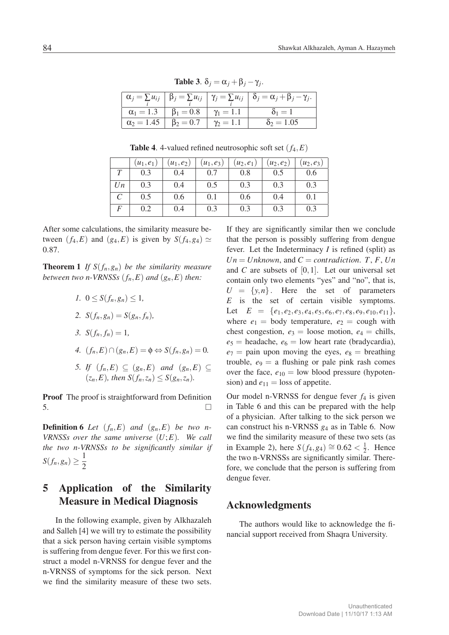|                                                   | ., ., ., .,    |                                                                                                                                               |
|---------------------------------------------------|----------------|-----------------------------------------------------------------------------------------------------------------------------------------------|
|                                                   |                | $\left  \alpha_j = \sum u_{ij} \right  \beta_j = \sum u_{ij} \left  \gamma_j = \sum u_{ij} \right  \delta_j = \alpha_j + \beta_j - \gamma_j.$ |
| $\alpha_1 = 1.3$ $\beta_1 = 0.8$ $\gamma_1 = 1.1$ |                | $\delta_1=1$                                                                                                                                  |
| $\alpha_2 = 1.45$ $\beta_2 = 0.7$                 | $\gamma_2=1.1$ | $\delta_2 = 1.05$                                                                                                                             |

Table 3.  $\delta_i = \alpha_i + \beta_i - \gamma_i$ .

**Table 4.** 4-valued refined neutrosophic soft set  $(f_4, E)$ 

|    | $(u_1, e_1)$ | $(u_1, e_2)$ | $(u_1, e_3)$ | $(u_2, e_1)$ | $(u_2, e_2)$ | $(u_2, e_3)$ |
|----|--------------|--------------|--------------|--------------|--------------|--------------|
|    | 0.3          | 0.4          | 0.7          | 0.8          | 0.5          | 0.6          |
| Un | 0.3          | 0.4          | 0.5          | 0.3          | 0.3          | 0.3          |
|    | 0.5          | 0.6          | 0.1          | 0.6          | 0.4          | 0.1          |
| F  | 0.2          | 0.4          | 0.3          | 0.3          | 0.3          | 0.3          |

After some calculations, the similarity measure between  $(f_4, E)$  and  $(g_4, E)$  is given by  $S(f_4, g_4) \simeq$ 0*.*87.

**Theorem 1** If  $S(f_n, g_n)$  be the similarity measure *between two n-VRNSSs*  $(f_n, E)$  *and*  $(g_n, E)$  *then:* 

- *1.*  $0 \leq S(f_n, g_n) \leq 1$ ,
- 2. *S*( $f_n, g_n$ ) = *S*( $g_n, f_n$ )*,*
- *3.*  $S(f_n, f_n) = 1$ ,
- *4.*  $(f_n, E) ∩ (g_n, E) = \emptyset \Leftrightarrow S(f_n, g_n) = 0.$
- *5. If*  $(f_n, E) \subseteq (g_n, E)$  *and*  $(g_n, E) \subseteq$  $(z_n, E)$ *, then*  $S(f_n, z_n) \leq S(g_n, z_n)$ *.*

**Proof** The proof is straightforward from Definition  $\overline{\phantom{a}}$  5.

**Definition 6** *Let*  $(f_n, E)$  *and*  $(g_n, E)$  *be two n*-*VRNSSs over the same universe* (*U*;*E*)*. We call the two n-VRNSSs to be significantly similar if S*(*f<sub>n</sub>,g<sub>n</sub>*)  $\geq \frac{1}{2}$ 2

# 5 Application of the Similarity Measure in Medical Diagnosis

In the following example, given by Alkhazaleh and Salleh [4] we will try to estimate the possibility that a sick person having certain visible symptoms is suffering from dengue fever. For this we first construct a model n-VRNSS for dengue fever and the n-VRNSS of symptoms for the sick person. Next we find the similarity measure of these two sets.

If they are significantly similar then we conclude that the person is possibly suffering from dengue fever. Let the Indeterminacy *I* is refined (split) as  $Un = Unknown$ , and  $C = contradiction$ . *T*, *F*, *Un* and *C* are subsets of [0*,*1]. Let our universal set contain only two elements "yes" and "no", that is,  $U = \{y, n\}$ . Here the set of parameters *E* is the set of certain visible symptoms. Let  $E = \{e_1, e_2, e_3, e_4, e_5, e_6, e_7, e_8, e_9, e_{10}, e_{11}\},\$ where  $e_1$  = body temperature,  $e_2$  = cough with chest congestion,  $e_3$  = loose motion,  $e_4$  = chills,  $e_5$  = headache,  $e_6$  = low heart rate (bradycardia),  $e_7$  = pain upon moving the eyes,  $e_8$  = breathing trouble,  $e_9 = a$  flushing or pale pink rash comes over the face,  $e_{10} =$  low blood pressure (hypotension) and  $e_{11}$  = loss of appetite.

Our model n-VRNSS for dengue fever  $f_4$  is given in Table 6 and this can be prepared with the help of a physician. After talking to the sick person we can construct his n-VRNSS *g*<sup>4</sup> as in Table 6. Now we find the similarity measure of these two sets (as in Example 2), here *S*( $f_4$ , $g_4$ )  $\cong$  0.62 <  $\frac{1}{2}$ . Hence the two n-VRNSSs are significantly similar. Therefore, we conclude that the person is suffering from dengue fever.

#### Acknowledgments

The authors would like to acknowledge the financial support received from Shaqra University.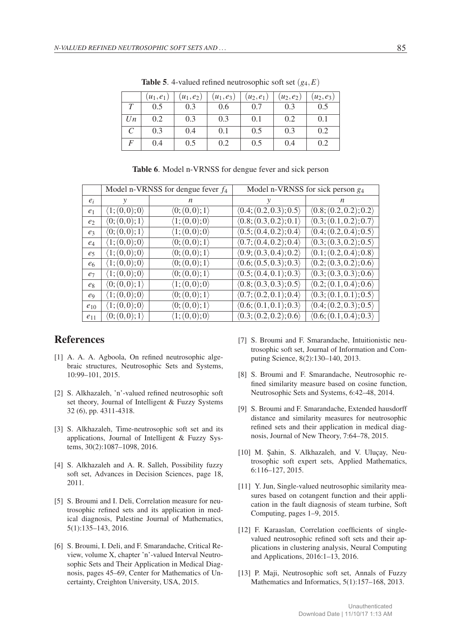|                   | $u_1, e_1$ | $(u_1, e_2)$ | $(u_1, e_3)$ | $(u_2, e_1)$ | $(u_2, e_2)$ | $(u_2, e_3)$ |
|-------------------|------------|--------------|--------------|--------------|--------------|--------------|
| T                 | 0.5        | 0.3          | 0.6          | 0.7          | 0.3          | 0.5          |
| Un                | 0.2        | 0.3          | 0.3          | 0.1          | 0.2          | 0.1          |
| $\mathcal{C}_{0}$ | 0.3        | 0.4          | 0.1          | 0.5          | 0.3          | 0.2          |
| F                 | 0.4        | 0.5          | 0.2          | 0.5          | 0.4          | 0.2          |

**Table 5.** 4-valued refined neutrosophic soft set  $(g_4, E)$ 

|                |                               | Model n-VRNSS for dengue fever $f_4$ | Model n-VRNSS for sick person $g_4$    |                                        |  |  |
|----------------|-------------------------------|--------------------------------------|----------------------------------------|----------------------------------------|--|--|
| $e_i$          | у                             | n                                    | у                                      | n.                                     |  |  |
| e <sub>1</sub> | $\langle 1;(0,0);0\rangle$    | $\langle 0; (0,0); 1 \rangle$        | (0.4; (0.2, 0.3); 0.5)                 | (0.8; (0.2, 0.2); 0.2)                 |  |  |
| e <sub>2</sub> | $\langle 0; (0,0); 1 \rangle$ | $\langle 1;(0,0);0\rangle$           | (0.8; (0.3, 0.2); 0.1)                 | $\langle 0.3; (0.1, 0.2); 0.7 \rangle$ |  |  |
| e <sub>3</sub> | $\langle 0; (0,0); 1 \rangle$ | $\langle 1;(0,0);0\rangle$           | (0.5; (0.4, 0.2); 0.4)                 | (0.4; (0.2, 0.4); 0.5)                 |  |  |
| $e_4$          | $\langle 1;(0,0);0\rangle$    | $\langle 0; (0,0); 1 \rangle$        | (0.7; (0.4, 0.2); 0.4)                 | (0.3; (0.3, 0.2); 0.5)                 |  |  |
| e <sub>5</sub> | $\langle 1;(0,0);0\rangle$    | $\langle 0; (0,0); 1 \rangle$        | $\langle 0.9; (0.3, 0.4); 0.2 \rangle$ | (0.1; (0.2, 0.4); 0.8)                 |  |  |
| e <sub>6</sub> | $\langle 1;(0,0);0\rangle$    | $\langle 0; (0,0); 1 \rangle$        | (0.6; (0.5, 0.3); 0.3)                 | (0.2; (0.3, 0.2); 0.6)                 |  |  |
| $e_7$          | $\langle 1;(0,0);0\rangle$    | $\langle 0; (0,0); 1 \rangle$        | $\langle 0.5; (0.4, 0.1); 0.3 \rangle$ | (0.3; (0.3, 0.3); 0.6)                 |  |  |
| $e_8$          | $\langle 0; (0,0); 1 \rangle$ | $\langle 1;(0,0);0\rangle$           | (0.8; (0.3, 0.3); 0.5)                 | (0.2; (0.1, 0.4); 0.6)                 |  |  |
| $\ell_{9}$     | $\langle 1;(0,0);0\rangle$    | $\langle 0; (0,0); 1 \rangle$        | (0.7; (0.2, 0.1); 0.4)                 | (0.3; (0.1, 0.1); 0.5)                 |  |  |
| $e_{10}$       | $\langle 1;(0,0);0\rangle$    | $\langle 0; (0,0); 1 \rangle$        | (0.6; (0.1, 0.1); 0.3)                 | (0.4; (0.2, 0.3); 0.5)                 |  |  |
| $e_{11}$       | $\langle 0; (0,0); 1 \rangle$ | $\langle 1;(0,0);0\rangle$           | (0.3; (0.2, 0.2); 0.6)                 | $\langle 0.6; (0.1, 0.4); 0.3 \rangle$ |  |  |

Table 6. Model n-VRNSS for dengue fever and sick person

### References

- [1] A. A. A. Agboola, On refined neutrosophic algebraic structures, Neutrosophic Sets and Systems, 10:99–101, 2015.
- [2] S. Alkhazaleh, 'n'-valued refined neutrosophic soft set theory, Journal of Intelligent & Fuzzy Systems 32 (6), pp. 4311-4318.
- [3] S. Alkhazaleh, Time-neutrosophic soft set and its applications, Journal of Intelligent & Fuzzy Systems, 30(2):1087–1098, 2016.
- [4] S. Alkhazaleh and A. R. Salleh, Possibility fuzzy soft set, Advances in Decision Sciences, page 18, 2011.
- [5] S. Broumi and I. Deli, Correlation measure for neutrosophic refined sets and its application in medical diagnosis, Palestine Journal of Mathematics, 5(1):135–143, 2016.
- [6] S. Broumi, I. Deli, and F. Smarandache, Critical Review, volume X, chapter 'n'-valued Interval Neutrosophic Sets and Their Application in Medical Diagnosis, pages 45–69, Center for Mathematics of Uncertainty, Creighton University, USA, 2015.
- [7] S. Broumi and F. Smarandache, Intuitionistic neutrosophic soft set, Journal of Information and Computing Science, 8(2):130–140, 2013.
- [8] S. Broumi and F. Smarandache, Neutrosophic refined similarity measure based on cosine function, Neutrosophic Sets and Systems, 6:42–48, 2014.
- [9] S. Broumi and F. Smarandache, Extended hausdorff distance and similarity measures for neutrosophic refined sets and their application in medical diagnosis, Journal of New Theory, 7:64–78, 2015.
- [10] M. Şahin, S. Alkhazaleh, and V. Uluçay, Neutrosophic soft expert sets, Applied Mathematics, 6:116–127, 2015.
- [11] Y. Jun, Single-valued neutrosophic similarity measures based on cotangent function and their application in the fault diagnosis of steam turbine, Soft Computing, pages 1–9, 2015.
- [12] F. Karaaslan, Correlation coefficients of singlevalued neutrosophic refined soft sets and their applications in clustering analysis, Neural Computing and Applications, 2016:1–13, 2016.
- [13] P. Maji, Neutrosophic soft set, Annals of Fuzzy Mathematics and Informatics, 5(1):157-168, 2013.